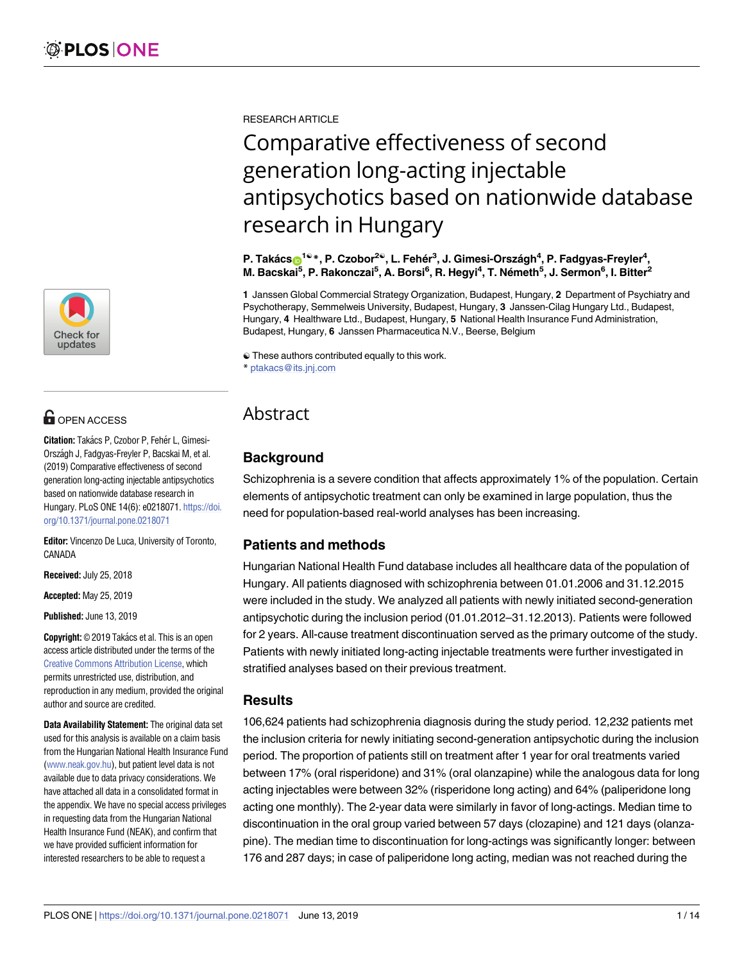

# **OPEN ACCESS**

**Citation:** Takács P, Czobor P, Fehér L, Gimesi-Országh J, Fadgyas-Freyler P, Bacskai M, et al. (2019) Comparative effectiveness of second generation long-acting injectable antipsychotics based on nationwide database research in Hungary. PLoS ONE 14(6): e0218071. [https://doi.](https://doi.org/10.1371/journal.pone.0218071) [org/10.1371/journal.pone.0218071](https://doi.org/10.1371/journal.pone.0218071)

**Editor:** Vincenzo De Luca, University of Toronto, CANADA

**Received:** July 25, 2018

**Accepted:** May 25, 2019

**Published:** June 13, 2019

**Copyright:** © 2019 Takács et al. This is an open access article distributed under the terms of the Creative Commons [Attribution](http://creativecommons.org/licenses/by/4.0/) License, which permits unrestricted use, distribution, and reproduction in any medium, provided the original author and source are credited.

**Data Availability Statement:** The original data set used for this analysis is available on a claim basis from the Hungarian National Health Insurance Fund [\(www.neak.gov.hu\)](http://www.neak.gov.hu), but patient level data is not available due to data privacy considerations. We have attached all data in a consolidated format in the appendix. We have no special access privileges in requesting data from the Hungarian National Health Insurance Fund (NEAK), and confirm that we have provided sufficient information for interested researchers to be able to request a

RESEARCH ARTICLE

# Comparative effectiveness of second generation long-acting injectable antipsychotics based on nationwide database research in Hungary

**P. Taka´cs[ID1](http://orcid.org/0000-0002-5012-287X)**☯**\*, P. Czobor2**☯**, L. Fehe´r 3 , J. Gimesi-Orsza´gh4 , P. Fadgyas-Freyler4 ,** M. Bacskai<sup>5</sup>, P. Rakonczai<sup>5</sup>, A. Borsi<sup>6</sup>, R. Hegyi<sup>4</sup>, T. Németh<sup>5</sup>, J. Sermon<sup>6</sup>, I. Bitter<sup>2</sup>

**1** Janssen Global Commercial Strategy Organization, Budapest, Hungary, **2** Department of Psychiatry and Psychotherapy, Semmelweis University, Budapest, Hungary, **3** Janssen-Cilag Hungary Ltd., Budapest, Hungary, **4** Healthware Ltd., Budapest, Hungary, **5** National Health Insurance Fund Administration, Budapest, Hungary, **6** Janssen Pharmaceutica N.V., Beerse, Belgium

☯ These authors contributed equally to this work. \* ptakacs@its.jnj.com

# Abstract

# **Background**

Schizophrenia is a severe condition that affects approximately 1% of the population. Certain elements of antipsychotic treatment can only be examined in large population, thus the need for population-based real-world analyses has been increasing.

# **Patients and methods**

Hungarian National Health Fund database includes all healthcare data of the population of Hungary. All patients diagnosed with schizophrenia between 01.01.2006 and 31.12.2015 were included in the study. We analyzed all patients with newly initiated second-generation antipsychotic during the inclusion period (01.01.2012–31.12.2013). Patients were followed for 2 years. All-cause treatment discontinuation served as the primary outcome of the study. Patients with newly initiated long-acting injectable treatments were further investigated in stratified analyses based on their previous treatment.

# **Results**

106,624 patients had schizophrenia diagnosis during the study period. 12,232 patients met the inclusion criteria for newly initiating second-generation antipsychotic during the inclusion period. The proportion of patients still on treatment after 1 year for oral treatments varied between 17% (oral risperidone) and 31% (oral olanzapine) while the analogous data for long acting injectables were between 32% (risperidone long acting) and 64% (paliperidone long acting one monthly). The 2-year data were similarly in favor of long-actings. Median time to discontinuation in the oral group varied between 57 days (clozapine) and 121 days (olanzapine). The median time to discontinuation for long-actings was significantly longer: between 176 and 287 days; in case of paliperidone long acting, median was not reached during the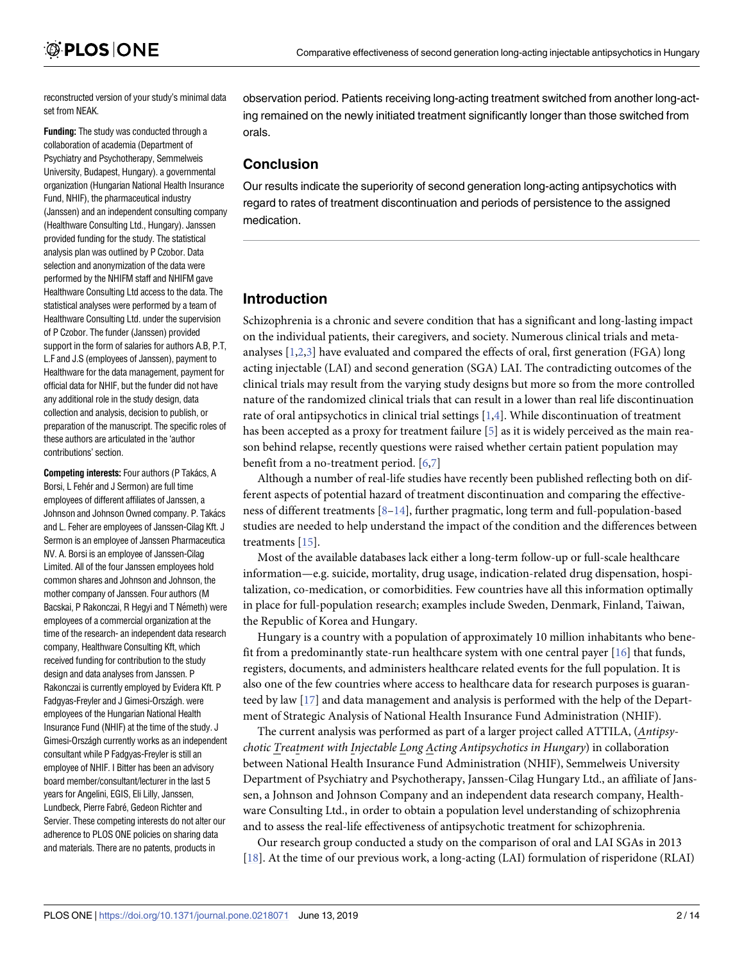<span id="page-1-0"></span>reconstructed version of your study's minimal data set from NEAK.

**Funding:** The study was conducted through a collaboration of academia (Department of Psychiatry and Psychotherapy, Semmelweis University, Budapest, Hungary). a governmental organization (Hungarian National Health Insurance Fund, NHIF), the pharmaceutical industry (Janssen) and an independent consulting company (Healthware Consulting Ltd., Hungary). Janssen provided funding for the study. The statistical analysis plan was outlined by P Czobor. Data selection and anonymization of the data were performed by the NHIFM staff and NHIFM gave Healthware Consulting Ltd access to the data. The statistical analyses were performed by a team of Healthware Consulting Ltd. under the supervision of P Czobor. The funder (Janssen) provided support in the form of salaries for authors A.B, P.T, L.F and J.S (employees of Janssen), payment to Healthware for the data management, payment for official data for NHIF, but the funder did not have any additional role in the study design, data collection and analysis, decision to publish, or preparation of the manuscript. The specific roles of these authors are articulated in the 'author contributions' section.

**Competing interests:** Four authors (P Taka´cs, A Borsi, L Fehér and J Sermon) are full time employees of different affiliates of Janssen, a Johnson and Johnson Owned company. P. Takács and L. Feher are employees of Janssen-Cilag Kft. J Sermon is an employee of Janssen Pharmaceutica NV. A. Borsi is an employee of Janssen-Cilag Limited. All of the four Janssen employees hold common shares and Johnson and Johnson, the mother company of Janssen. Four authors (M Bacskai, P Rakonczai, R Hegyi and T Németh) were employees of a commercial organization at the time of the research- an independent data research company, Healthware Consulting Kft, which received funding for contribution to the study design and data analyses from Janssen. P Rakonczai is currently employed by Evidera Kft. P Fadgyas-Freyler and J Gimesi-Országh. were employees of the Hungarian National Health Insurance Fund (NHIF) at the time of the study. J Gimesi-Országh currently works as an independent consultant while P Fadgyas-Freyler is still an employee of NHIF. I Bitter has been an advisory board member/consultant/lecturer in the last 5 years for Angelini, EGIS, Eli Lilly, Janssen, Lundbeck, Pierre Fabré, Gedeon Richter and Servier. These competing interests do not alter our adherence to PLOS ONE policies on sharing data and materials. There are no patents, products in

observation period. Patients receiving long-acting treatment switched from another long-acting remained on the newly initiated treatment significantly longer than those switched from orals.

## **Conclusion**

Our results indicate the superiority of second generation long-acting antipsychotics with regard to rates of treatment discontinuation and periods of persistence to the assigned medication.

# **Introduction**

Schizophrenia is a chronic and severe condition that has a significant and long-lasting impact on the individual patients, their caregivers, and society. Numerous clinical trials and metaanalyses [\[1,2,3\]](#page-11-0) have evaluated and compared the effects of oral, first generation (FGA) long acting injectable (LAI) and second generation (SGA) LAI. The contradicting outcomes of the clinical trials may result from the varying study designs but more so from the more controlled nature of the randomized clinical trials that can result in a lower than real life discontinuation rate of oral antipsychotics in clinical trial settings [[1,](#page-11-0)[4\]](#page-12-0). While discontinuation of treatment has been accepted as a proxy for treatment failure  $[5]$  as it is widely perceived as the main reason behind relapse, recently questions were raised whether certain patient population may benefit from a no-treatment period. [[6,7\]](#page-12-0)

Although a number of real-life studies have recently been published reflecting both on different aspects of potential hazard of treatment discontinuation and comparing the effectiveness of different treatments [\[8–14\]](#page-12-0), further pragmatic, long term and full-population-based studies are needed to help understand the impact of the condition and the differences between treatments [\[15\]](#page-12-0).

Most of the available databases lack either a long-term follow-up or full-scale healthcare information—e.g. suicide, mortality, drug usage, indication-related drug dispensation, hospitalization, co-medication, or comorbidities. Few countries have all this information optimally in place for full-population research; examples include Sweden, Denmark, Finland, Taiwan, the Republic of Korea and Hungary.

Hungary is a country with a population of approximately 10 million inhabitants who benefit from a predominantly state-run healthcare system with one central payer [\[16\]](#page-12-0) that funds, registers, documents, and administers healthcare related events for the full population. It is also one of the few countries where access to healthcare data for research purposes is guaranteed by law [\[17](#page-12-0)] and data management and analysis is performed with the help of the Department of Strategic Analysis of National Health Insurance Fund Administration (NHIF).

The current analysis was performed as part of a larger project called ATTILA, (*Antipsychotic Treatment with Injectable Long Acting Antipsychotics in Hungary*) in collaboration between National Health Insurance Fund Administration (NHIF), Semmelweis University Department of Psychiatry and Psychotherapy, Janssen-Cilag Hungary Ltd., an affiliate of Janssen, a Johnson and Johnson Company and an independent data research company, Healthware Consulting Ltd., in order to obtain a population level understanding of schizophrenia and to assess the real-life effectiveness of antipsychotic treatment for schizophrenia.

Our research group conducted a study on the comparison of oral and LAI SGAs in 2013 [\[18\]](#page-12-0). At the time of our previous work, a long-acting (LAI) formulation of risperidone (RLAI)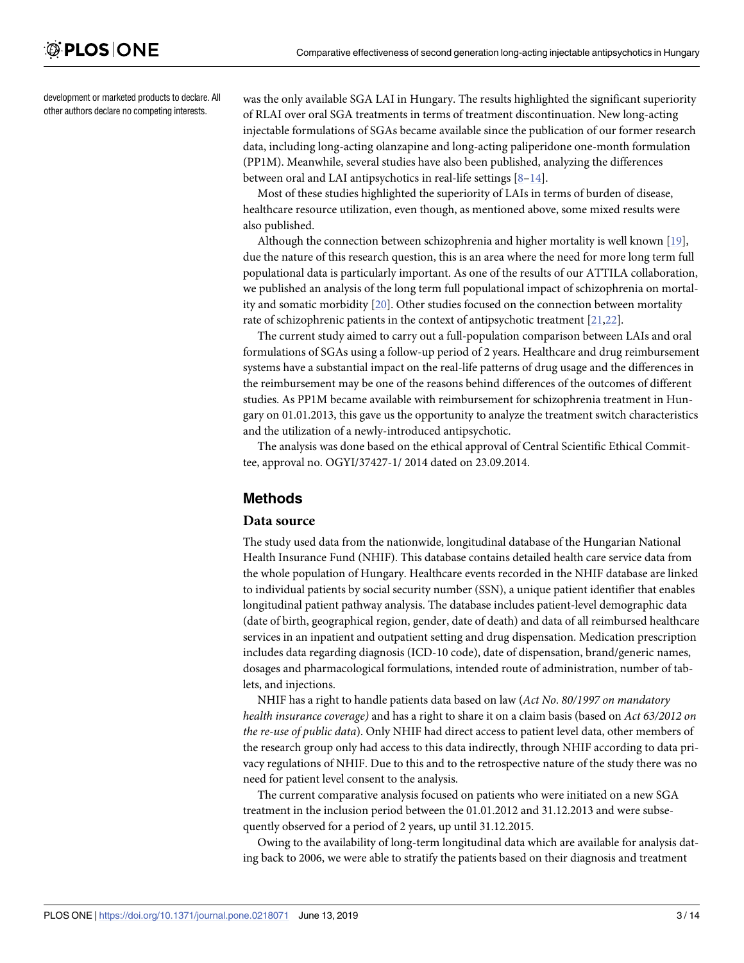<span id="page-2-0"></span>development or marketed products to declare. All other authors declare no competing interests.

was the only available SGA LAI in Hungary. The results highlighted the significant superiority of RLAI over oral SGA treatments in terms of treatment discontinuation. New long-acting injectable formulations of SGAs became available since the publication of our former research data, including long-acting olanzapine and long-acting paliperidone one-month formulation (PP1M). Meanwhile, several studies have also been published, analyzing the differences between oral and LAI antipsychotics in real-life settings [\[8–14\]](#page-12-0).

Most of these studies highlighted the superiority of LAIs in terms of burden of disease, healthcare resource utilization, even though, as mentioned above, some mixed results were also published.

Although the connection between schizophrenia and higher mortality is well known [[19](#page-12-0)], due the nature of this research question, this is an area where the need for more long term full populational data is particularly important. As one of the results of our ATTILA collaboration, we published an analysis of the long term full populational impact of schizophrenia on mortality and somatic morbidity [[20](#page-12-0)]. Other studies focused on the connection between mortality rate of schizophrenic patients in the context of antipsychotic treatment [[21](#page-12-0)[,22\]](#page-13-0).

The current study aimed to carry out a full-population comparison between LAIs and oral formulations of SGAs using a follow-up period of 2 years. Healthcare and drug reimbursement systems have a substantial impact on the real-life patterns of drug usage and the differences in the reimbursement may be one of the reasons behind differences of the outcomes of different studies. As PP1M became available with reimbursement for schizophrenia treatment in Hungary on 01.01.2013, this gave us the opportunity to analyze the treatment switch characteristics and the utilization of a newly-introduced antipsychotic.

The analysis was done based on the ethical approval of Central Scientific Ethical Committee, approval no. OGYI/37427-1/ 2014 dated on 23.09.2014.

### **Methods**

#### **Data source**

The study used data from the nationwide, longitudinal database of the Hungarian National Health Insurance Fund (NHIF). This database contains detailed health care service data from the whole population of Hungary. Healthcare events recorded in the NHIF database are linked to individual patients by social security number (SSN), a unique patient identifier that enables longitudinal patient pathway analysis. The database includes patient-level demographic data (date of birth, geographical region, gender, date of death) and data of all reimbursed healthcare services in an inpatient and outpatient setting and drug dispensation. Medication prescription includes data regarding diagnosis (ICD-10 code), date of dispensation, brand/generic names, dosages and pharmacological formulations, intended route of administration, number of tablets, and injections.

NHIF has a right to handle patients data based on law (*Act No*. *80/1997 on mandatory health insurance coverage)* and has a right to share it on a claim basis (based on *Act 63/2012 on the re-use of public data*). Only NHIF had direct access to patient level data, other members of the research group only had access to this data indirectly, through NHIF according to data privacy regulations of NHIF. Due to this and to the retrospective nature of the study there was no need for patient level consent to the analysis.

The current comparative analysis focused on patients who were initiated on a new SGA treatment in the inclusion period between the 01.01.2012 and 31.12.2013 and were subsequently observed for a period of 2 years, up until 31.12.2015.

Owing to the availability of long-term longitudinal data which are available for analysis dating back to 2006, we were able to stratify the patients based on their diagnosis and treatment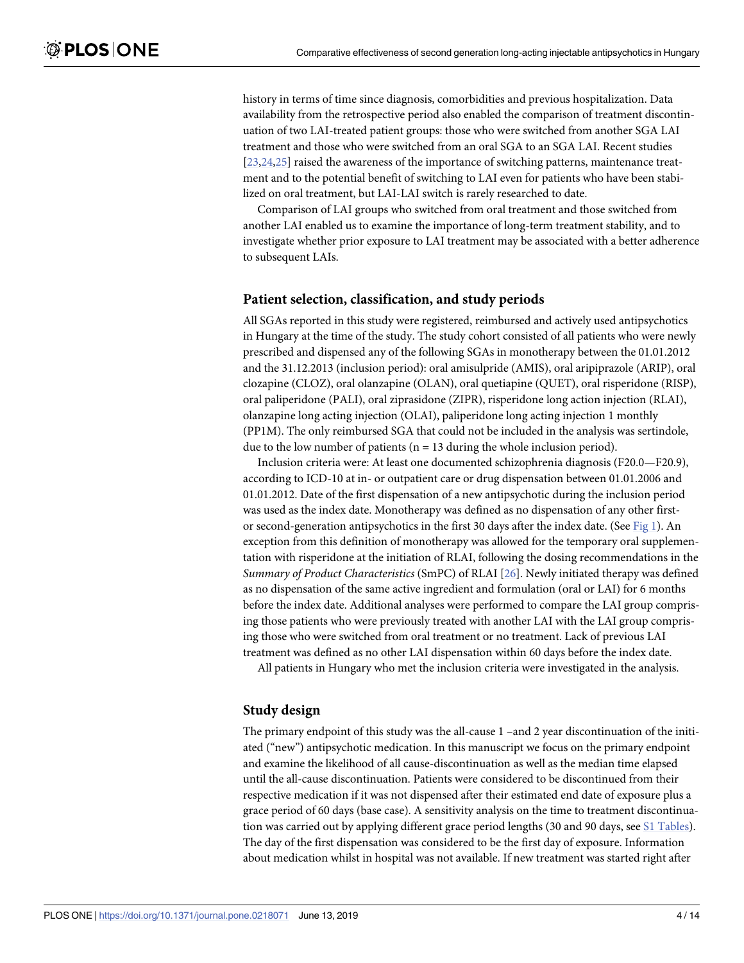<span id="page-3-0"></span>history in terms of time since diagnosis, comorbidities and previous hospitalization. Data availability from the retrospective period also enabled the comparison of treatment discontinuation of two LAI-treated patient groups: those who were switched from another SGA LAI treatment and those who were switched from an oral SGA to an SGA LAI. Recent studies [\[23,24,25](#page-13-0)] raised the awareness of the importance of switching patterns, maintenance treatment and to the potential benefit of switching to LAI even for patients who have been stabilized on oral treatment, but LAI-LAI switch is rarely researched to date.

Comparison of LAI groups who switched from oral treatment and those switched from another LAI enabled us to examine the importance of long-term treatment stability, and to investigate whether prior exposure to LAI treatment may be associated with a better adherence to subsequent LAIs.

#### **Patient selection, classification, and study periods**

All SGAs reported in this study were registered, reimbursed and actively used antipsychotics in Hungary at the time of the study. The study cohort consisted of all patients who were newly prescribed and dispensed any of the following SGAs in monotherapy between the 01.01.2012 and the 31.12.2013 (inclusion period): oral amisulpride (AMIS), oral aripiprazole (ARIP), oral clozapine (CLOZ), oral olanzapine (OLAN), oral quetiapine (QUET), oral risperidone (RISP), oral paliperidone (PALI), oral ziprasidone (ZIPR), risperidone long action injection (RLAI), olanzapine long acting injection (OLAI), paliperidone long acting injection 1 monthly (PP1M). The only reimbursed SGA that could not be included in the analysis was sertindole, due to the low number of patients ( $n = 13$  during the whole inclusion period).

Inclusion criteria were: At least one documented schizophrenia diagnosis (F20.0—F20.9), according to ICD-10 at in- or outpatient care or drug dispensation between 01.01.2006 and 01.01.2012. Date of the first dispensation of a new antipsychotic during the inclusion period was used as the index date. Monotherapy was defined as no dispensation of any other firstor second-generation antipsychotics in the first 30 days after the index date. (See [Fig](#page-4-0) 1). An exception from this definition of monotherapy was allowed for the temporary oral supplementation with risperidone at the initiation of RLAI, following the dosing recommendations in the *Summary of Product Characteristics* (SmPC) of RLAI [\[26\]](#page-13-0). Newly initiated therapy was defined as no dispensation of the same active ingredient and formulation (oral or LAI) for 6 months before the index date. Additional analyses were performed to compare the LAI group comprising those patients who were previously treated with another LAI with the LAI group comprising those who were switched from oral treatment or no treatment. Lack of previous LAI treatment was defined as no other LAI dispensation within 60 days before the index date.

All patients in Hungary who met the inclusion criteria were investigated in the analysis.

#### **Study design**

The primary endpoint of this study was the all-cause 1 –and 2 year discontinuation of the initiated ("new") antipsychotic medication. In this manuscript we focus on the primary endpoint and examine the likelihood of all cause-discontinuation as well as the median time elapsed until the all-cause discontinuation. Patients were considered to be discontinued from their respective medication if it was not dispensed after their estimated end date of exposure plus a grace period of 60 days (base case). A sensitivity analysis on the time to treatment discontinuation was carried out by applying different grace period lengths (30 and 90 days, see S1 [Tables](#page-11-0)). The day of the first dispensation was considered to be the first day of exposure. Information about medication whilst in hospital was not available. If new treatment was started right after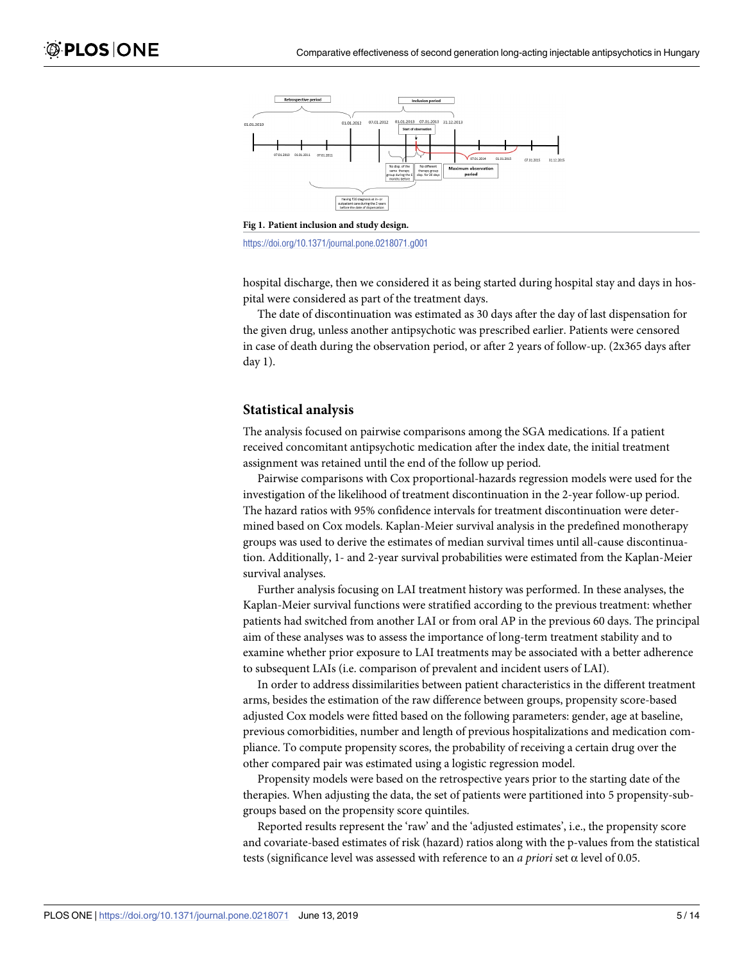<span id="page-4-0"></span>



<https://doi.org/10.1371/journal.pone.0218071.g001>

hospital discharge, then we considered it as being started during hospital stay and days in hospital were considered as part of the treatment days.

The date of discontinuation was estimated as 30 days after the day of last dispensation for the given drug, unless another antipsychotic was prescribed earlier. Patients were censored in case of death during the observation period, or after 2 years of follow-up. (2x365 days after day 1).

#### **Statistical analysis**

The analysis focused on pairwise comparisons among the SGA medications. If a patient received concomitant antipsychotic medication after the index date, the initial treatment assignment was retained until the end of the follow up period.

Pairwise comparisons with Cox proportional-hazards regression models were used for the investigation of the likelihood of treatment discontinuation in the 2-year follow-up period. The hazard ratios with 95% confidence intervals for treatment discontinuation were determined based on Cox models. Kaplan-Meier survival analysis in the predefined monotherapy groups was used to derive the estimates of median survival times until all-cause discontinuation. Additionally, 1- and 2-year survival probabilities were estimated from the Kaplan-Meier survival analyses.

Further analysis focusing on LAI treatment history was performed. In these analyses, the Kaplan-Meier survival functions were stratified according to the previous treatment: whether patients had switched from another LAI or from oral AP in the previous 60 days. The principal aim of these analyses was to assess the importance of long-term treatment stability and to examine whether prior exposure to LAI treatments may be associated with a better adherence to subsequent LAIs (i.e. comparison of prevalent and incident users of LAI).

In order to address dissimilarities between patient characteristics in the different treatment arms, besides the estimation of the raw difference between groups, propensity score-based adjusted Cox models were fitted based on the following parameters: gender, age at baseline, previous comorbidities, number and length of previous hospitalizations and medication compliance. To compute propensity scores, the probability of receiving a certain drug over the other compared pair was estimated using a logistic regression model.

Propensity models were based on the retrospective years prior to the starting date of the therapies. When adjusting the data, the set of patients were partitioned into 5 propensity-subgroups based on the propensity score quintiles.

Reported results represent the 'raw' and the 'adjusted estimates', i.e., the propensity score and covariate-based estimates of risk (hazard) ratios along with the p-values from the statistical tests (significance level was assessed with reference to an *a priori* set α level of 0.05.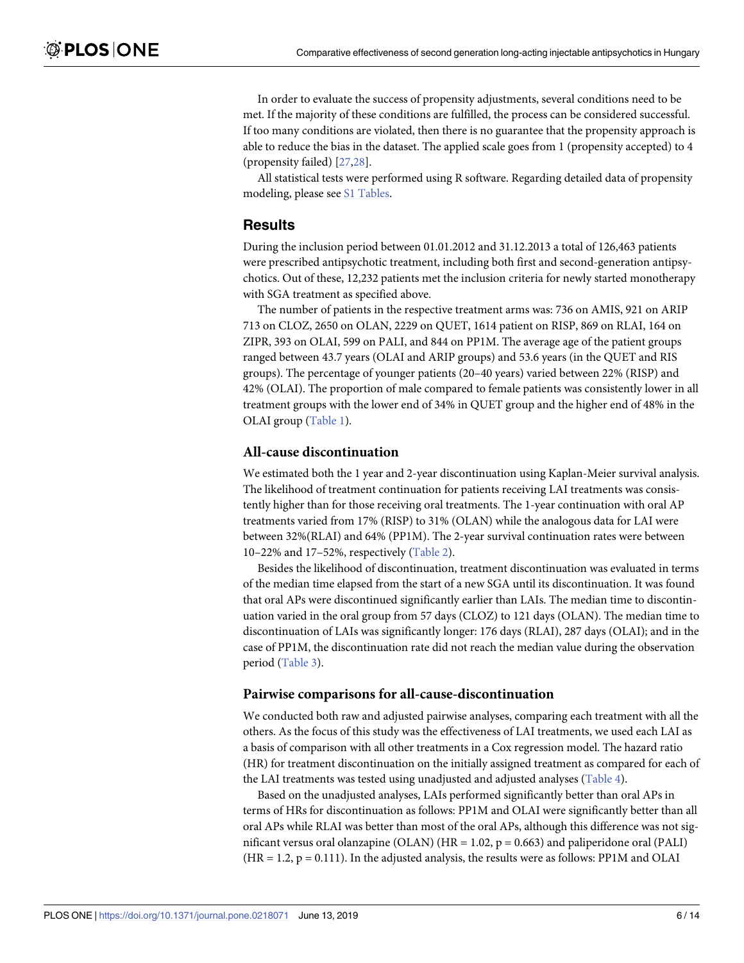<span id="page-5-0"></span>In order to evaluate the success of propensity adjustments, several conditions need to be met. If the majority of these conditions are fulfilled, the process can be considered successful. If too many conditions are violated, then there is no guarantee that the propensity approach is able to reduce the bias in the dataset. The applied scale goes from 1 (propensity accepted) to 4 (propensity failed) [\[27,28](#page-13-0)].

All statistical tests were performed using R software. Regarding detailed data of propensity modeling, please see S1 [Tables.](#page-11-0)

#### **Results**

During the inclusion period between 01.01.2012 and 31.12.2013 a total of 126,463 patients were prescribed antipsychotic treatment, including both first and second-generation antipsychotics. Out of these, 12,232 patients met the inclusion criteria for newly started monotherapy with SGA treatment as specified above.

The number of patients in the respective treatment arms was: 736 on AMIS, 921 on ARIP 713 on CLOZ, 2650 on OLAN, 2229 on QUET, 1614 patient on RISP, 869 on RLAI, 164 on ZIPR, 393 on OLAI, 599 on PALI, and 844 on PP1M. The average age of the patient groups ranged between 43.7 years (OLAI and ARIP groups) and 53.6 years (in the QUET and RIS groups). The percentage of younger patients (20–40 years) varied between 22% (RISP) and 42% (OLAI). The proportion of male compared to female patients was consistently lower in all treatment groups with the lower end of 34% in QUET group and the higher end of 48% in the OLAI group ([Table](#page-6-0) 1).

#### **All-cause discontinuation**

We estimated both the 1 year and 2-year discontinuation using Kaplan-Meier survival analysis. The likelihood of treatment continuation for patients receiving LAI treatments was consistently higher than for those receiving oral treatments. The 1-year continuation with oral AP treatments varied from 17% (RISP) to 31% (OLAN) while the analogous data for LAI were between 32%(RLAI) and 64% (PP1M). The 2-year survival continuation rates were between 10–22% and 17–52%, respectively ([Table](#page-7-0) 2).

Besides the likelihood of discontinuation, treatment discontinuation was evaluated in terms of the median time elapsed from the start of a new SGA until its discontinuation. It was found that oral APs were discontinued significantly earlier than LAIs. The median time to discontinuation varied in the oral group from 57 days (CLOZ) to 121 days (OLAN). The median time to discontinuation of LAIs was significantly longer: 176 days (RLAI), 287 days (OLAI); and in the case of PP1M, the discontinuation rate did not reach the median value during the observation period ([Table](#page-7-0) 3).

#### **Pairwise comparisons for all-cause-discontinuation**

We conducted both raw and adjusted pairwise analyses, comparing each treatment with all the others. As the focus of this study was the effectiveness of LAI treatments, we used each LAI as a basis of comparison with all other treatments in a Cox regression model. The hazard ratio (HR) for treatment discontinuation on the initially assigned treatment as compared for each of the LAI treatments was tested using unadjusted and adjusted analyses ([Table](#page-8-0) 4).

Based on the unadjusted analyses, LAIs performed significantly better than oral APs in terms of HRs for discontinuation as follows: PP1M and OLAI were significantly better than all oral APs while RLAI was better than most of the oral APs, although this difference was not significant versus oral olanzapine (OLAN) (HR = 1.02, p = 0.663) and paliperidone oral (PALI)  $(HR = 1.2, p = 0.111)$ . In the adjusted analysis, the results were as follows: PP1M and OLAI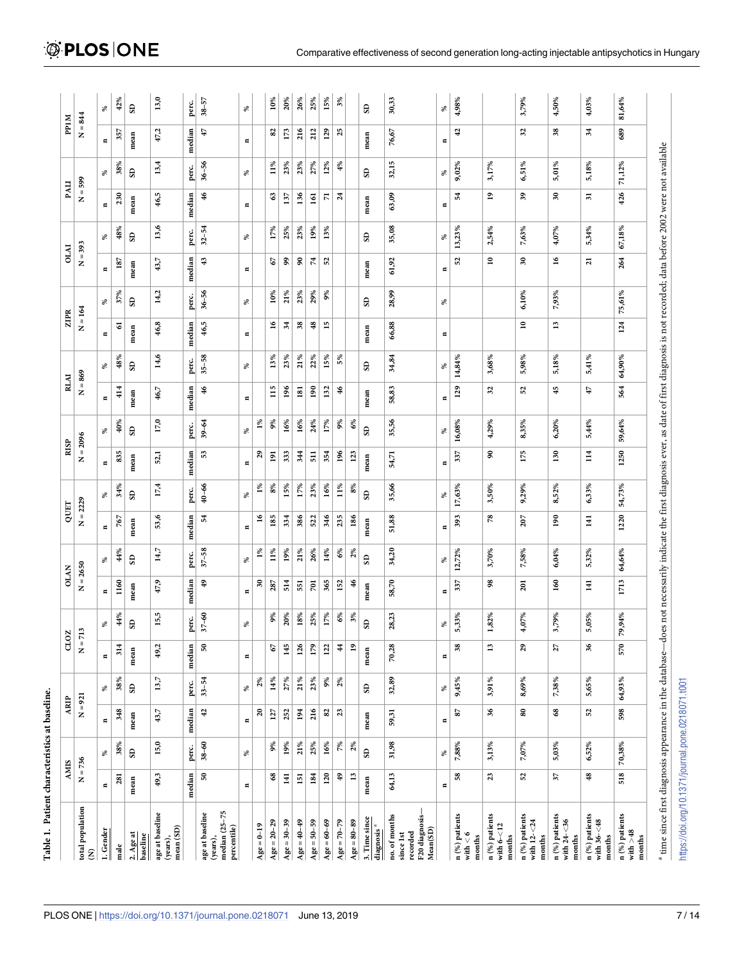<span id="page-6-0"></span>

| Table 1. Patient characteristics at baseline.                                                                                                                                                   |                |            |                 |                         |                            |                         |                  |                         |                  |                         |                |           |                  |                         |                |                         |                            |                         |                            |           |                           |           |
|-------------------------------------------------------------------------------------------------------------------------------------------------------------------------------------------------|----------------|------------|-----------------|-------------------------|----------------------------|-------------------------|------------------|-------------------------|------------------|-------------------------|----------------|-----------|------------------|-------------------------|----------------|-------------------------|----------------------------|-------------------------|----------------------------|-----------|---------------------------|-----------|
|                                                                                                                                                                                                 | AMIS           |            | ARIP            |                         | CLOZ                       |                         | <b>OLAN</b>      |                         | QUET             |                         | RISP           |           | RLAI             |                         | ZIPR           |                         | <b>OLAI</b>                |                         | PALI                       |           | <b>PPIM</b>               |           |
| total population<br>$\widehat{\mathbf{g}}$                                                                                                                                                      | $N = 736$      |            | $N = 921$       |                         | $N = 713$                  |                         | $N = 2650$       |                         | $N = 2229$       |                         | $N = 2096$     |           | $N = 869$        |                         | $N = 164$      |                         | $N = 393$                  |                         | $N = 599$                  |           | $N = 844$                 |           |
| 1. Gender                                                                                                                                                                                       | $\blacksquare$ | శ          | $\blacksquare$  | S,                      | $\blacksquare$             | S,                      | $\blacksquare$   | S,                      | $\blacksquare$   | S,                      | $\blacksquare$ | S,        | $\blacksquare$   | S,                      | $\blacksquare$ | S,                      | $\blacksquare$             | S,                      | $\blacksquare$             | S,        | $\blacksquare$            | S,        |
| male                                                                                                                                                                                            | 281            | 38%        | 348             | 38%                     | 314                        | 44%                     | 1160             | 44%                     | 767              | 34%                     | 835            | 40%       | 414              | 48%                     | 61             | 37%                     | 187                        | 48%                     | 230                        | 38%       | 357                       | 42%       |
| 2. Age at<br>baseline                                                                                                                                                                           | mean           | G          | mean            | $\overline{\mathbf{s}}$ | mean                       | $\overline{\mathbf{s}}$ | mean             | G                       | mean             | $\overline{\mathbf{s}}$ | mean           | SD        | mean             | $\overline{\mathbf{c}}$ | mean           | $\overline{\mathbf{S}}$ | mean                       | $\overline{\mathbf{c}}$ | mean                       | GS        | mean                      | G         |
| age at baseline<br>mean(SD)<br>(years),                                                                                                                                                         | 49,3           | $15,0$     | 43,7            | 13,7                    | 49,2                       | 15,5                    | 47,9             | 14,7                    | 53,6             | 17,4                    | 52,1           | 17,0      | 46,7             | 14,6                    | 46,8           | 14,2                    | 43,7                       | 13,6                    | 46,5                       | 13,4      | 47,2                      | 13,0      |
|                                                                                                                                                                                                 | median         | perc.      | median          | perc.                   | median                     | perc.                   | median           | perc.                   | median           | perc.                   | median         | perc.     | median           | perc.                   | median         | perc.                   | median                     | perc.                   | median                     | perc.     | median                    | perc.     |
| median (25-75<br>age at baseline<br>percentile)<br>(years),                                                                                                                                     | 50             | $38 - 60$  | 42              | $33 - 54$               | $\mathbb S$                | $37 - 60$               | 49               | $37 - 58$               | 54               | $40 - 66$               | 53             | $39 - 64$ | $46\,$           | $35 - 58$               | 46,5           | 36-56                   | 43                         | $32 - 54$               | 46                         | $36 - 56$ | $\boldsymbol{\varphi}$    | $38 - 57$ |
|                                                                                                                                                                                                 | $\blacksquare$ | శ          | $\blacksquare$  | Se                      | $\blacksquare$             | $\%$                    | $\blacksquare$   | S,                      | $\blacksquare$   | ೫                       | $\blacksquare$ | ೫         | $\blacksquare$   | శ                       | $\blacksquare$ | ೫                       | $\blacksquare$             | $\%$                    | $\blacksquare$             | ೫         | $\blacksquare$            | S,        |
| $Age = 0-19$                                                                                                                                                                                    |                |            | $\overline{20}$ | 2%                      |                            |                         | 50               | $1\%$                   | 91               | $1\%$                   | 29             | $1\%$     |                  |                         |                |                         |                            |                         |                            |           |                           |           |
| $Age = 20 - 29$                                                                                                                                                                                 | 3              | 9%         | 127             | 14%                     | 2                          | 9%                      | 287              | 11%                     | 185              | 8%                      | 191            | 9%        | 115              | 13%                     | 5              | 10%                     | 67                         | 17%                     | 63                         | 11%       | 82                        | 10%       |
| $Age = 30-39$                                                                                                                                                                                   | 141            | 19%        | 252             | 27%                     | 145                        | 20%                     | 514              | 19%                     | 334              | 15%                     | 333            | 16%       | 196              | 23%                     | 34             | 21%                     | S)                         | 25%                     | 137                        | 23%       | 173                       | 20%       |
| $\mathbf{Age} = 40-49$                                                                                                                                                                          | 151            | 21%        | 194             | 21%                     | 126                        | 18%                     | 551              | 21%                     | 386              | $17\%$                  | 344            | $16\%$    | 181              | 21%                     | $38\,$         | 23%                     | $\boldsymbol{\mathsf{s}}$  | 23%                     | 136                        | 23%       | 216                       | 26%       |
| $Age = 50-59$                                                                                                                                                                                   | 184            | 25%        | 216             | 23%                     | 179                        | 25%                     | 701              | 26%                     | 522              | 23%                     | 511            | 24%       | $\overline{190}$ | 22%                     | $\pmb{\ast}$   | 29%                     | $\overline{7}$             | 19%                     | 161                        | 27%       | 212                       | 25%       |
| $Age = 60-69$                                                                                                                                                                                   | 120            | 16%        | $\bf{82}$       | 9%                      | 122                        | 17%                     | 365              | 14%                     | 346              | 16%                     | 354            | 17%       | 132              | 15%                     | 15             | 9%                      | 52                         | 13%                     | $\overline{r}$             | 12%       | 129                       | 15%       |
| $Age = 70 - 79$                                                                                                                                                                                 | $\clubsuit$    | 7%         | 23              | 2%                      | 4                          | $\mathbf{e}_8$          | 152              | $6\%$                   | 235              | 11%                     | 196            | $9\%$     | $\frac{46}{5}$   | 5%                      |                |                         |                            |                         | $\overline{24}$            | 4%        | 25                        | 3%        |
| $Age = 80 - 89$                                                                                                                                                                                 | 13             | 2%         |                 |                         | $\mathbf{p}$               | 3%                      | 46               | 2%                      | 186              | $8\%$                   | 123            | $6\%$     |                  |                         |                |                         |                            |                         |                            |           |                           |           |
| 3. Time since<br>diagnosis <sup>a</sup>                                                                                                                                                         | mean           | G          | mean            | G                       | mean                       | GS                      | mean             | $\overline{\mathbf{c}}$ | mean             | GS                      | mean           | SD        | mean             | G                       | mean           | SD                      | mean                       | $\overline{\mathbf{c}}$ | mean                       | GS        | mean                      | G         |
| F20 diagnosis-<br>no. of months<br>Mean(SD)<br>since 1st<br>recorded                                                                                                                            | 64,13          | 31,98      | 59,31           | 32,89                   | 70,28                      | 28,23                   | 58,70            | 34,20                   | 51,88            | 35,66                   | 54,71          | 35,56     | 58,83            | 34,84                   | 66,88          | 28,99                   | 61,92                      | 35,08                   | 63,09                      | 32,15     | 76,67                     | 30,33     |
|                                                                                                                                                                                                 | $\blacksquare$ | S,         | $\blacksquare$  | S,                      | $\blacksquare$             | S,                      | $\blacksquare$   | ℅                       | $\blacksquare$   | ℅                       | $\blacksquare$ | S,        | $\blacksquare$   | S,                      | $\blacksquare$ | ೫                       | $\blacksquare$             | S,                      | $\blacksquare$             | S,        | $\blacksquare$            | S,        |
| n (%) patients<br>with $<\,$ 6<br>months                                                                                                                                                        | $58\,$         | $7{,}88\%$ | 87              | 9,45%                   | $\boldsymbol{\mathcal{S}}$ | 5,33%                   | 337              | 12,72%                  | 393              | 17,63%                  | 337            | $16,08\%$ | 129              | 14,84%                  |                |                         | 52                         | 13,23%                  | 54                         | 9,02%     | $\boldsymbol{\hat{\tau}}$ | 4,98%     |
| n (%) patients<br>with $6 - 12$<br>months                                                                                                                                                       | 23             | 3,13%      | 36              | 3,91%                   | 13                         | 1,82%                   | 98               | 3,70%                   | 78               | 3,50%                   | g              | 4,29%     | 32               | 3,68%                   |                |                         | $\overline{\phantom{0}}$   | 2,54%                   | $\overline{1}$             | 3,17%     |                           |           |
| n (%) patients<br>with $12 - 24$<br>${\bf months}$                                                                                                                                              | 52             | 7,07%      | 80              | 8,69%                   | 39                         | 4,07%                   | 201              | 7,58%                   | 207              | 9,29%                   | 175            | 8,35%     | 52               | 5,98%                   | $\mathbf{a}$   | 6,10%                   | $\boldsymbol{\mathcal{S}}$ | 7,63%                   | 39                         | 6,51%     | 32                        | 3,79%     |
| n (%) patients<br>with $24 - 36$<br>${\bf months}$                                                                                                                                              | 57             | 5,03%      | 89              | 7,38%                   | 52                         | 3,79%                   | 160              | 6,04%                   | 190              | 8,52%                   | 130            | 6,20%     | 45               | $5,18\%$                | 13             | 7,93%                   | $\overline{16}$            | 4,07%                   | $\boldsymbol{\mathcal{S}}$ | 5,01%     | 38                        | 4,50%     |
| n (%) patients<br>with $36 - 48$<br>${\bf months}$                                                                                                                                              | $\pmb{\ast}$   | 6,52%      | 52              | 5,65%                   | $\mathscr{L}$              | 5,05%                   | $\overline{141}$ | 5,32%                   | $\overline{141}$ | 6,33%                   | 114            | 5,44%     | 47               | 5,41%                   |                |                         | $\overline{a}$             | 5,34%                   | $\overline{\mathbf{a}}$    | 5,18%     | ¥,                        | 4,03%     |
| n (%) patients<br>with $>48$<br>${\bf months}$                                                                                                                                                  | 518            | 70,38%     | 598             | 64,93%                  | 570                        | 79,94%                  | 1713             | 64,64%                  | 1220             | 54,73%                  | 1250           | 59,64%    | 564              | 64,90%                  | 124            | 75,61%                  | 264                        | 67,18%                  | 426                        | 71,12%    | 689                       | 81,64%    |
| a time since first diagnosis appearance in the database—does not necessarily indicate the first diagnosis ever, as date of first diagnosis is not recorded; data before 2002 were not available |                |            |                 |                         |                            |                         |                  |                         |                  |                         |                |           |                  |                         |                |                         |                            |                         |                            |           |                           |           |

<https://doi.org/10.1371/journal.pone.0218071.t001>

https://doi.org/10.1371/journal.pone.0218071.t001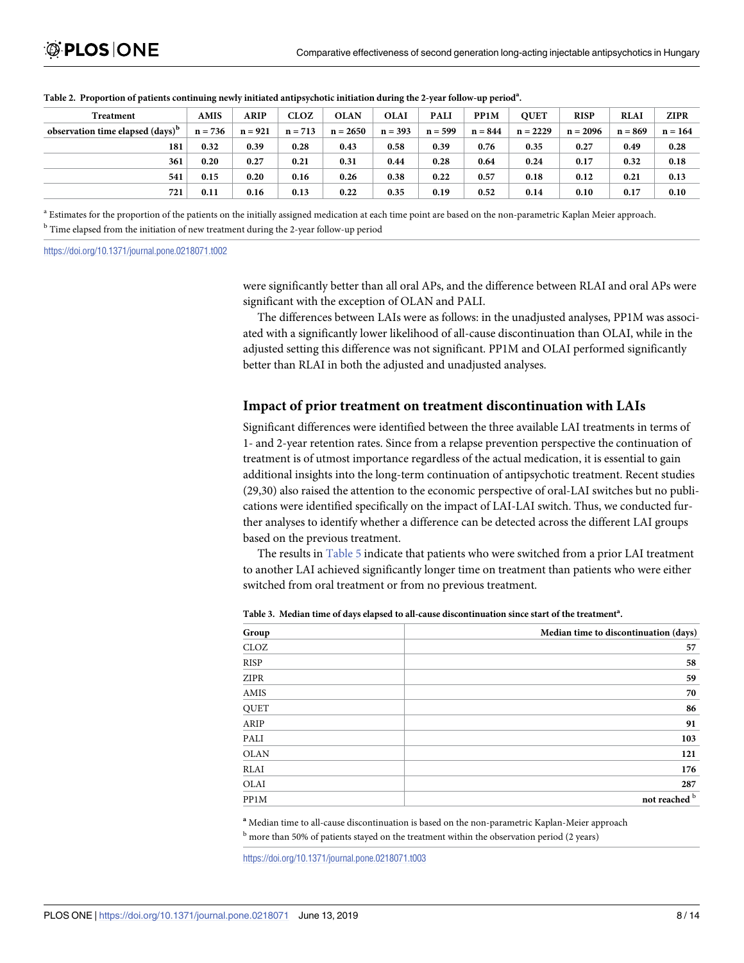| <b>Treatment</b>                             | <b>AMIS</b> | ARIP      | <b>CLOZ</b> | <b>OLAN</b> | <b>OLAI</b> | <b>PALI</b> | PP <sub>1</sub> M | <b>OUET</b> | <b>RISP</b> | <b>RLAI</b> | <b>ZIPR</b> |
|----------------------------------------------|-------------|-----------|-------------|-------------|-------------|-------------|-------------------|-------------|-------------|-------------|-------------|
| observation time elapsed (days) <sup>b</sup> | $n = 736$   | $n = 921$ | $n = 713$   | $n = 2650$  | $n = 393$   | $n = 599$   | $n = 844$         | $n = 2229$  | $n = 2096$  | $n = 869$   | $n = 164$   |
| 181                                          | 0.32        | 0.39      | 0.28        | 0.43        | 0.58        | 0.39        | 0.76              | 0.35        | 0.27        | 0.49        | 0.28        |
| 361                                          | 0.20        | 0.27      | 0.21        | 0.31        | 0.44        | 0.28        | 0.64              | 0.24        | 0.17        | 0.32        | 0.18        |
| 541                                          | 0.15        | 0.20      | 0.16        | 0.26        | 0.38        | 0.22        | 0.57              | 0.18        | 0.12        | 0.21        | 0.13        |
| 721                                          | 0.11        | 0.16      | 0.13        | 0.22        | 0.35        | 0.19        | 0.52              | 0.14        | 0.10        | 0.17        | 0.10        |

<span id="page-7-0"></span>[Table](#page-5-0) 2. Proportion of patients continuing newly initiated antipsychotic initiation during the 2-year follow-up period<sup>a</sup>.

<sup>a</sup> Estimates for the proportion of the patients on the initially assigned medication at each time point are based on the non-parametric Kaplan Meier approach. <sup>b</sup> Time elapsed from the initiation of new treatment during the 2-year follow-up period

<https://doi.org/10.1371/journal.pone.0218071.t002>

were significantly better than all oral APs, and the difference between RLAI and oral APs were significant with the exception of OLAN and PALI.

The differences between LAIs were as follows: in the unadjusted analyses, PP1M was associated with a significantly lower likelihood of all-cause discontinuation than OLAI, while in the adjusted setting this difference was not significant. PP1M and OLAI performed significantly better than RLAI in both the adjusted and unadjusted analyses.

#### **Impact of prior treatment on treatment discontinuation with LAIs**

Significant differences were identified between the three available LAI treatments in terms of 1- and 2-year retention rates. Since from a relapse prevention perspective the continuation of treatment is of utmost importance regardless of the actual medication, it is essential to gain additional insights into the long-term continuation of antipsychotic treatment. Recent studies (29,30) also raised the attention to the economic perspective of oral-LAI switches but no publications were identified specifically on the impact of LAI-LAI switch. Thus, we conducted further analyses to identify whether a difference can be detected across the different LAI groups based on the previous treatment.

The results in [Table](#page-9-0) 5 indicate that patients who were switched from a prior LAI treatment to another LAI achieved significantly longer time on treatment than patients who were either switched from oral treatment or from no previous treatment.

| Median time to discontinuation (days) |               |
|---------------------------------------|---------------|
|                                       | 57            |
|                                       | 58            |
|                                       | 59            |
|                                       | 70            |
|                                       | 86            |
|                                       | 91            |
|                                       | 103           |
|                                       | 121           |
|                                       | 176           |
|                                       | 287           |
|                                       | not reached b |

**[Table](#page-5-0) 3. Median time of days elapsed to all-cause discontinuation since start of the treatmenta .**

**<sup>a</sup>** Median time to all-cause discontinuation is based on the non-parametric Kaplan-Meier approach b more than 50% of patients stayed on the treatment within the observation period (2 years)

<https://doi.org/10.1371/journal.pone.0218071.t003>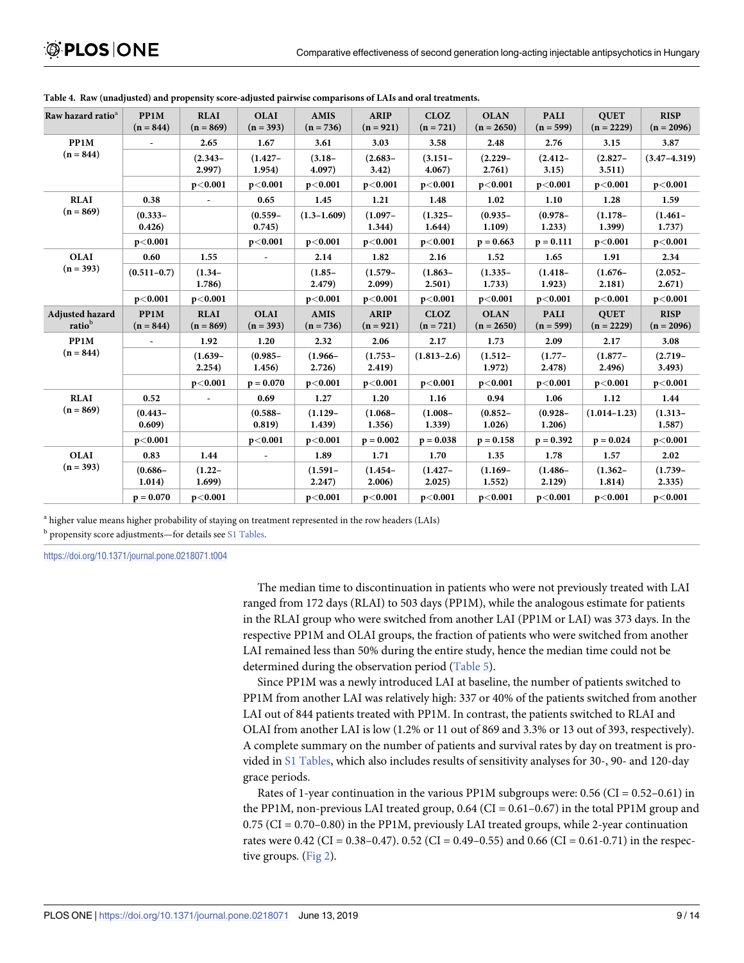| Raw hazard ratio <sup>a</sup>                | PP1M<br>$(n = 844)$  | <b>RLAI</b><br>$(n = 869)$ | <b>OLAI</b><br>$(n = 393)$ | <b>AMIS</b><br>$(n = 736)$ | <b>ARIP</b><br>$(n = 921)$ | <b>CLOZ</b><br>$(n = 721)$ | <b>OLAN</b><br>$(n = 2650)$ | <b>PALI</b><br>$(n = 599)$ | <b>QUET</b><br>$(n = 2229)$ | <b>RISP</b><br>$(n = 2096)$ |
|----------------------------------------------|----------------------|----------------------------|----------------------------|----------------------------|----------------------------|----------------------------|-----------------------------|----------------------------|-----------------------------|-----------------------------|
| PP1M                                         |                      | 2.65                       | 1.67                       | 3.61                       | 3.03                       | 3.58                       | 2.48                        | 2.76                       | 3.15                        | 3.87                        |
| $(n = 844)$                                  |                      | $(2.343 -$<br>2.997)       | $(1.427 -$<br>1.954)       | $(3.18 -$<br>4.097)        | $(2.683 -$<br>3.42)        | $(3.151 -$<br>4.067)       | $(2.229 -$<br>2.761)        | $(2.412 -$<br>3.15)        | $(2.827 -$<br>3.511)        | $(3.47 - 4.319)$            |
|                                              |                      | p<0.001                    | p<0.001                    | p<0.001                    | p<0.001                    | p<0.001                    | p<0.001                     | p<0.001                    | p<0.001                     | p<0.001                     |
| <b>RLAI</b>                                  | 0.38                 |                            | 0.65                       | 1.45                       | 1.21                       | 1.48                       | 1.02                        | 1.10                       | 1.28                        | 1.59                        |
| $(n = 869)$                                  | $(0.333 -$<br>0.426) |                            | $(0.559 -$<br>0.745)       | $(1.3 - 1.609)$            | $(1.097 -$<br>1.344)       | $(1.325 -$<br>1.644)       | $(0.935 -$<br>1.109)        | $(0.978 -$<br>1.233)       | $(1.178 -$<br>1.399)        | $(1.461 -$<br>1.737)        |
|                                              | p<0.001              |                            | p<0.001                    | p<0.001                    | p<0.001                    | p<0.001                    | $p = 0.663$                 | $p = 0.111$                | p<0.001                     | p<0.001                     |
| <b>OLAI</b>                                  | 0.60                 | 1.55                       | $\overline{\phantom{a}}$   | 2.14                       | 1.82                       | 2.16                       | 1.52                        | 1.65                       | 1.91                        | 2.34                        |
| $(n = 393)$                                  | $(0.511 - 0.7)$      | $(1.34 -$<br>1.786)        |                            | $(1.85 -$<br>2.479)        | $(1.579 -$<br>2.099)       | $(1.863 -$<br>2.501)       | $(1.335 -$<br>1.733)        | $(1.418 -$<br>1.923)       | $(1.676-$<br>2.181)         | $(2.052 -$<br>2.671)        |
|                                              | p<0.001              | p<0.001                    |                            | p<0.001                    | p<0.001                    | p<0.001                    | p<0.001                     | p<0.001                    | p<0.001                     | p<0.001                     |
| <b>Adjusted hazard</b><br>ratio <sup>b</sup> | PP1M<br>$(n = 844)$  | <b>RLAI</b><br>$(n = 869)$ | <b>OLAI</b><br>$(n = 393)$ | <b>AMIS</b><br>$(n = 736)$ | <b>ARIP</b><br>$(n = 921)$ | <b>CLOZ</b><br>$(n = 721)$ | <b>OLAN</b><br>$(n = 2650)$ | <b>PALI</b><br>$(n = 599)$ | <b>QUET</b><br>$(n = 2229)$ | <b>RISP</b><br>$(n = 2096)$ |
| PP1M                                         |                      | 1.92                       | 1.20                       | 2.32                       | 2.06                       | 2.17                       | 1.73                        | 2.09                       | 2.17                        | 3.08                        |
| $(n = 844)$                                  |                      | $(1.639 -$<br>2.254)       | $(0.985 -$<br>1.456)       | $(1.966 -$<br>2.726)       | $(1.753 -$<br>2.419)       | $(1.813 - 2.6)$            | $(1.512 -$<br>1.972)        | $(1.77-$<br>2.478)         | $(1.877 -$<br>2.496)        | $(2.719 -$<br>3.493)        |
|                                              |                      | p<0.001                    | $p = 0.070$                | p<0.001                    | p<0.001                    | p<0.001                    | p<0.001                     | p<0.001                    | p<0.001                     | p<0.001                     |
| <b>RLAI</b><br>$(n = 869)$                   | 0.52                 |                            | 0.69                       | 1.27                       | 1.20                       | 1.16                       | 0.94                        | 1.06                       | 1.12                        | 1.44                        |
|                                              | $(0.443 -$<br>0.609) |                            | $(0.588 -$<br>0.819)       | $(1.129 -$<br>1.439)       | $(1.068 -$<br>1.356)       | $(1.008 -$<br>1.339)       | $(0.852 -$<br>1.026)        | $(0.928 -$<br>1.206)       | $(1.014 - 1.23)$            | $(1.313 -$<br>1.587)        |
|                                              | p<0.001              |                            | p<0.001                    | p<0.001                    | $p = 0.002$                | $p = 0.038$                | $p = 0.158$                 | $p = 0.392$                | $p = 0.024$                 | p<0.001                     |
| <b>OLAI</b>                                  | 0.83                 | 1.44                       | L,                         | 1.89                       | 1.71                       | 1.70                       | 1.35                        | 1.78                       | 1.57                        | 2.02                        |
| $(n = 393)$                                  | $(0.686 -$<br>1.014) | $(1.22 -$<br>1.699)        |                            | $(1.591 -$<br>2.247)       | $(1.454 -$<br>2.006)       | $(1.427 -$<br>2.025)       | $(1.169 -$<br>1.552)        | $(1.486 -$<br>2.129)       | $(1.362 -$<br>1.814)        | $(1.739 -$<br>2.335)        |
|                                              | $p = 0.070$          | p<0.001                    |                            | p<0.001                    | p<0.001                    | p<0.001                    | p<0.001                     | p<0.001                    | p<0.001                     | p<0.001                     |

#### <span id="page-8-0"></span>**[Table](#page-5-0) 4. Raw (unadjusted) and propensity score-adjusted pairwise comparisons of LAIs and oral treatments.**

<sup>a</sup> higher value means higher probability of staying on treatment represented in the row headers (LAIs)

<sup>b</sup> propensity score adjustments—for details see S1 [Tables.](#page-11-0)

<https://doi.org/10.1371/journal.pone.0218071.t004>

The median time to discontinuation in patients who were not previously treated with LAI ranged from 172 days (RLAI) to 503 days (PP1M), while the analogous estimate for patients in the RLAI group who were switched from another LAI (PP1M or LAI) was 373 days. In the respective PP1M and OLAI groups, the fraction of patients who were switched from another LAI remained less than 50% during the entire study, hence the median time could not be determined during the observation period [\(Table](#page-9-0) 5).

Since PP1M was a newly introduced LAI at baseline, the number of patients switched to PP1M from another LAI was relatively high: 337 or 40% of the patients switched from another LAI out of 844 patients treated with PP1M. In contrast, the patients switched to RLAI and OLAI from another LAI is low (1.2% or 11 out of 869 and 3.3% or 13 out of 393, respectively). A complete summary on the number of patients and survival rates by day on treatment is provided in S1 [Tables](#page-11-0), which also includes results of sensitivity analyses for 30-, 90- and 120-day grace periods.

Rates of 1-year continuation in the various PP1M subgroups were:  $0.56$  (CI =  $0.52-0.61$ ) in the PP1M, non-previous LAI treated group,  $0.64$  (CI =  $0.61-0.67$ ) in the total PP1M group and  $0.75$  (CI =  $0.70-0.80$ ) in the PP1M, previously LAI treated groups, while 2-year continuation rates were 0.42 (CI = 0.38–0.47). 0.52 (CI = 0.49–0.55) and 0.66 (CI = 0.61-0.71) in the respective groups. [\(Fig](#page-10-0) 2).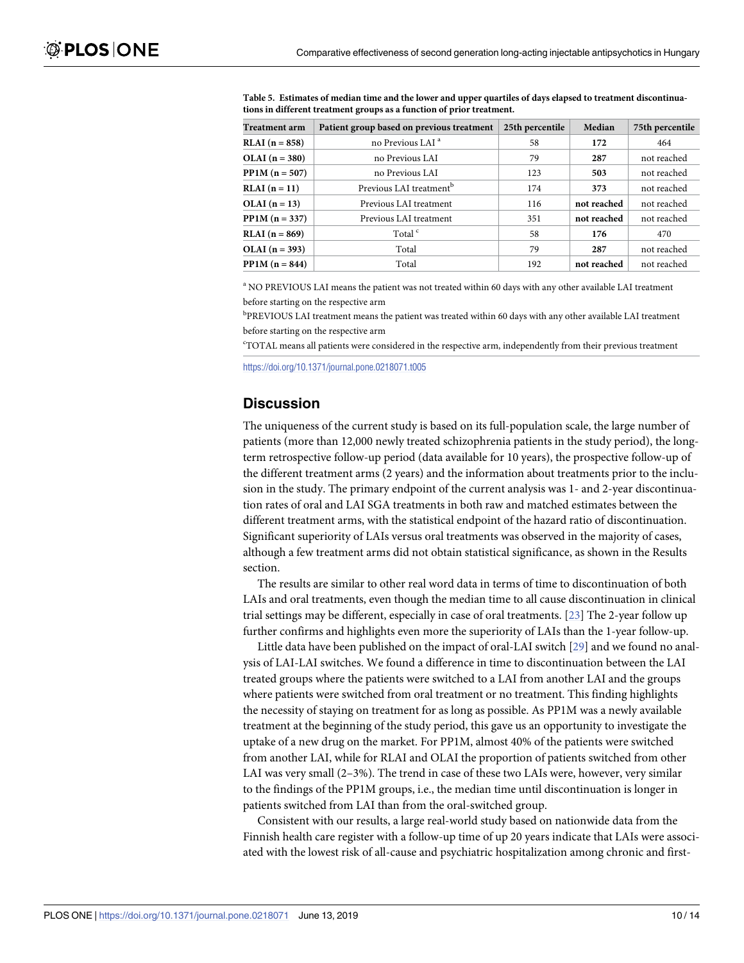| Treatment arm    | Patient group based on previous treatment | 25th percentile | Median      | 75th percentile |
|------------------|-------------------------------------------|-----------------|-------------|-----------------|
| $RLAI (n = 858)$ | no Previous LAI <sup>a</sup>              | 58              | 172         | 464             |
| $OLAI(n = 380)$  | no Previous LAI                           | 79              | 287         | not reached     |
| $PP1M (n = 507)$ | no Previous LAI                           | 123             | 503         | not reached     |
| $RLAI(n = 11)$   | Previous LAI treatment <sup>b</sup>       | 174             | 373         | not reached     |
| $OLAI(n=13)$     | Previous LAI treatment                    | 116             | not reached | not reached     |
| $PP1M (n = 337)$ | Previous LAI treatment                    | 351             | not reached | not reached     |
| $RLAI (n = 869)$ | Total <sup>c</sup>                        | 58              | 176         | 470             |
| $OLAI(n = 393)$  | Total                                     | 79              | 287         | not reached     |
| $PP1M (n = 844)$ | Total                                     | 192             | not reached | not reached     |

<span id="page-9-0"></span>[Table](#page-7-0) 5. Estimates of median time and the lower and upper quartiles of days elapsed to treatment discontinua**tions in different treatment groups as a function of prior treatment.**

<sup>a</sup> NO PREVIOUS LAI means the patient was not treated within 60 days with any other available LAI treatment before starting on the respective arm

<sup>b</sup>PREVIOUS LAI treatment means the patient was treated within 60 days with any other available LAI treatment before starting on the respective arm

c TOTAL means all patients were considered in the respective arm, independently from their previous treatment

<https://doi.org/10.1371/journal.pone.0218071.t005>

# **Discussion**

The uniqueness of the current study is based on its full-population scale, the large number of patients (more than 12,000 newly treated schizophrenia patients in the study period), the longterm retrospective follow-up period (data available for 10 years), the prospective follow-up of the different treatment arms (2 years) and the information about treatments prior to the inclusion in the study. The primary endpoint of the current analysis was 1- and 2-year discontinuation rates of oral and LAI SGA treatments in both raw and matched estimates between the different treatment arms, with the statistical endpoint of the hazard ratio of discontinuation. Significant superiority of LAIs versus oral treatments was observed in the majority of cases, although a few treatment arms did not obtain statistical significance, as shown in the Results section.

The results are similar to other real word data in terms of time to discontinuation of both LAIs and oral treatments, even though the median time to all cause discontinuation in clinical trial settings may be different, especially in case of oral treatments. [\[23\]](#page-13-0) The 2-year follow up further confirms and highlights even more the superiority of LAIs than the 1-year follow-up.

Little data have been published on the impact of oral-LAI switch [[29](#page-13-0)] and we found no analysis of LAI-LAI switches. We found a difference in time to discontinuation between the LAI treated groups where the patients were switched to a LAI from another LAI and the groups where patients were switched from oral treatment or no treatment. This finding highlights the necessity of staying on treatment for as long as possible. As PP1M was a newly available treatment at the beginning of the study period, this gave us an opportunity to investigate the uptake of a new drug on the market. For PP1M, almost 40% of the patients were switched from another LAI, while for RLAI and OLAI the proportion of patients switched from other LAI was very small  $(2-3%)$ . The trend in case of these two LAIs were, however, very similar to the findings of the PP1M groups, i.e., the median time until discontinuation is longer in patients switched from LAI than from the oral-switched group.

Consistent with our results, a large real-world study based on nationwide data from the Finnish health care register with a follow-up time of up 20 years indicate that LAIs were associated with the lowest risk of all-cause and psychiatric hospitalization among chronic and first-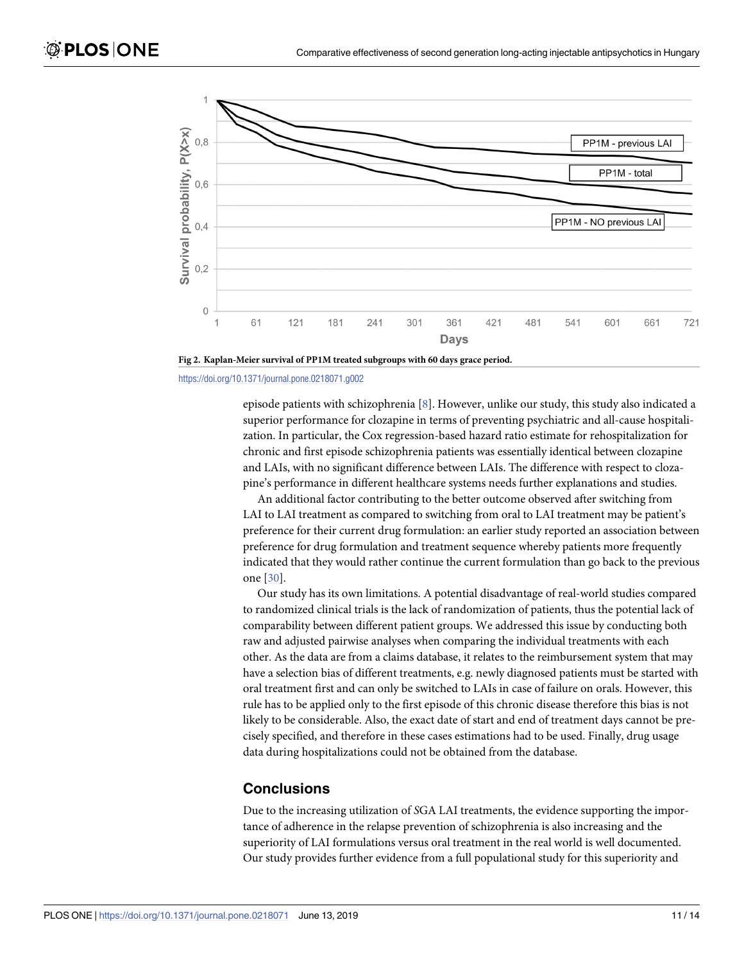<span id="page-10-0"></span>

**[Fig](#page-8-0) 2. Kaplan-Meier survival of PP1M treated subgroups with 60 days grace period.**

<https://doi.org/10.1371/journal.pone.0218071.g002>

episode patients with schizophrenia [[8](#page-12-0)]. However, unlike our study, this study also indicated a superior performance for clozapine in terms of preventing psychiatric and all-cause hospitalization. In particular, the Cox regression-based hazard ratio estimate for rehospitalization for chronic and first episode schizophrenia patients was essentially identical between clozapine and LAIs, with no significant difference between LAIs. The difference with respect to clozapine's performance in different healthcare systems needs further explanations and studies.

An additional factor contributing to the better outcome observed after switching from LAI to LAI treatment as compared to switching from oral to LAI treatment may be patient's preference for their current drug formulation: an earlier study reported an association between preference for drug formulation and treatment sequence whereby patients more frequently indicated that they would rather continue the current formulation than go back to the previous one [\[30\]](#page-13-0).

Our study has its own limitations. A potential disadvantage of real-world studies compared to randomized clinical trials is the lack of randomization of patients, thus the potential lack of comparability between different patient groups. We addressed this issue by conducting both raw and adjusted pairwise analyses when comparing the individual treatments with each other. As the data are from a claims database, it relates to the reimbursement system that may have a selection bias of different treatments, e.g. newly diagnosed patients must be started with oral treatment first and can only be switched to LAIs in case of failure on orals. However, this rule has to be applied only to the first episode of this chronic disease therefore this bias is not likely to be considerable. Also, the exact date of start and end of treatment days cannot be precisely specified, and therefore in these cases estimations had to be used. Finally, drug usage data during hospitalizations could not be obtained from the database.

#### **Conclusions**

Due to the increasing utilization of *S*GA LAI treatments, the evidence supporting the importance of adherence in the relapse prevention of schizophrenia is also increasing and the superiority of LAI formulations versus oral treatment in the real world is well documented. Our study provides further evidence from a full populational study for this superiority and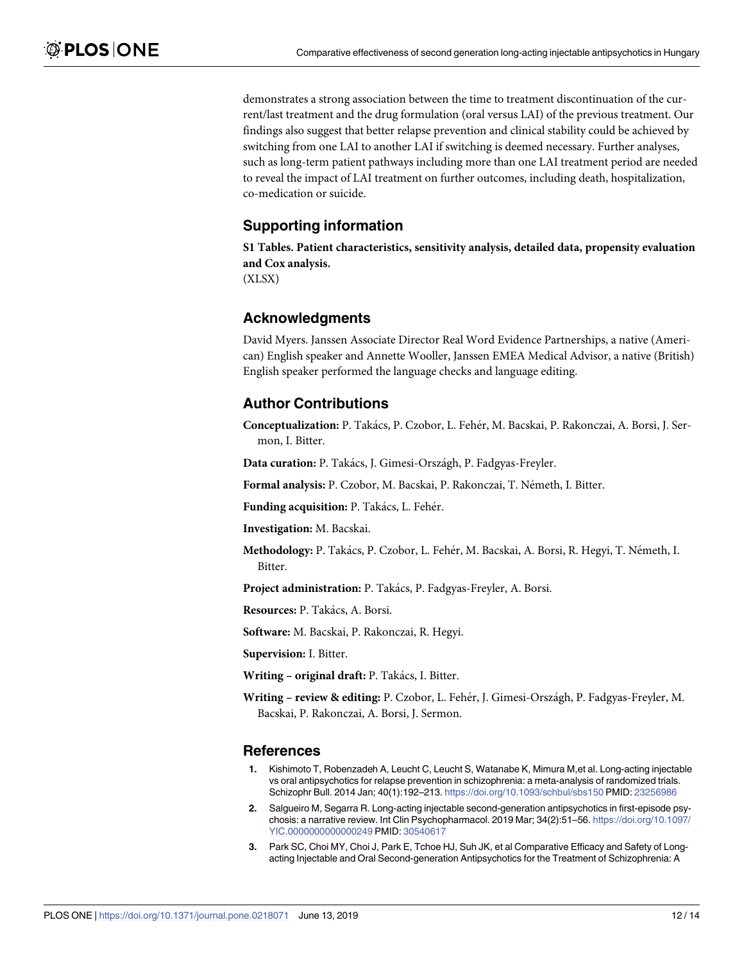<span id="page-11-0"></span>demonstrates a strong association between the time to treatment discontinuation of the current/last treatment and the drug formulation (oral versus LAI) of the previous treatment. Our findings also suggest that better relapse prevention and clinical stability could be achieved by switching from one LAI to another LAI if switching is deemed necessary. Further analyses, such as long-term patient pathways including more than one LAI treatment period are needed to reveal the impact of LAI treatment on further outcomes, including death, hospitalization, co-medication or suicide.

## **Supporting information**

**S1 [Tables](http://www.plosone.org/article/fetchSingleRepresentation.action?uri=info:doi/10.1371/journal.pone.0218071.s001). Patient characteristics, sensitivity analysis, detailed data, propensity evaluation and Cox analysis.**

(XLSX)

#### **Acknowledgments**

David Myers. Janssen Associate Director Real Word Evidence Partnerships, a native (American) English speaker and Annette Wooller, Janssen EMEA Medical Advisor, a native (British) English speaker performed the language checks and language editing.

#### **Author Contributions**

**Conceptualization:** P. Taka´cs, P. Czobor, L. Fehe´r, M. Bacskai, P. Rakonczai, A. Borsi, J. Sermon, I. Bitter.

**Data curation:** P. Taka´cs, J. Gimesi-Orsza´gh, P. Fadgyas-Freyler.

**Formal analysis:** P. Czobor, M. Bacskai, P. Rakonczai, T. Ne´meth, I. Bitter.

Funding *acquisition*: P. Takács, L. Fehér.

**Investigation:** M. Bacskai.

Methodology: P. Takács, P. Czobor, L. Fehér, M. Bacskai, A. Borsi, R. Hegyi, T. Németh, I. Bitter.

**Project administration:** P. Taka´cs, P. Fadgyas-Freyler, A. Borsi.

**Resources:** P. Taka´cs, A. Borsi.

**Software:** M. Bacskai, P. Rakonczai, R. Hegyi.

**Supervision:** I. Bitter.

**Writing – original draft:** P. Taka´cs, I. Bitter.

**Writing – review & editing:** P. Czobor, L. Fehe´r, J. Gimesi-Orsza´gh, P. Fadgyas-Freyler, M. Bacskai, P. Rakonczai, A. Borsi, J. Sermon.

#### **References**

- **[1](#page-1-0).** Kishimoto T, Robenzadeh A, Leucht C, Leucht S, Watanabe K, Mimura M,et al. Long-acting injectable vs oral antipsychotics for relapse prevention in schizophrenia: a meta-analysis of randomized trials. Schizophr Bull. 2014 Jan; 40(1):192–213. <https://doi.org/10.1093/schbul/sbs150> PMID: [23256986](http://www.ncbi.nlm.nih.gov/pubmed/23256986)
- **[2](#page-1-0).** Salgueiro M, Segarra R. Long-acting injectable second-generation antipsychotics in first-episode psychosis: a narrative review. Int Clin Psychopharmacol. 2019 Mar; 34(2):51–56. [https://doi.org/10.1097/](https://doi.org/10.1097/YIC.0000000000000249) [YIC.0000000000000249](https://doi.org/10.1097/YIC.0000000000000249) PMID: [30540617](http://www.ncbi.nlm.nih.gov/pubmed/30540617)
- **[3](#page-1-0).** Park SC, Choi MY, Choi J, Park E, Tchoe HJ, Suh JK, et al Comparative Efficacy and Safety of Longacting Injectable and Oral Second-generation Antipsychotics for the Treatment of Schizophrenia: A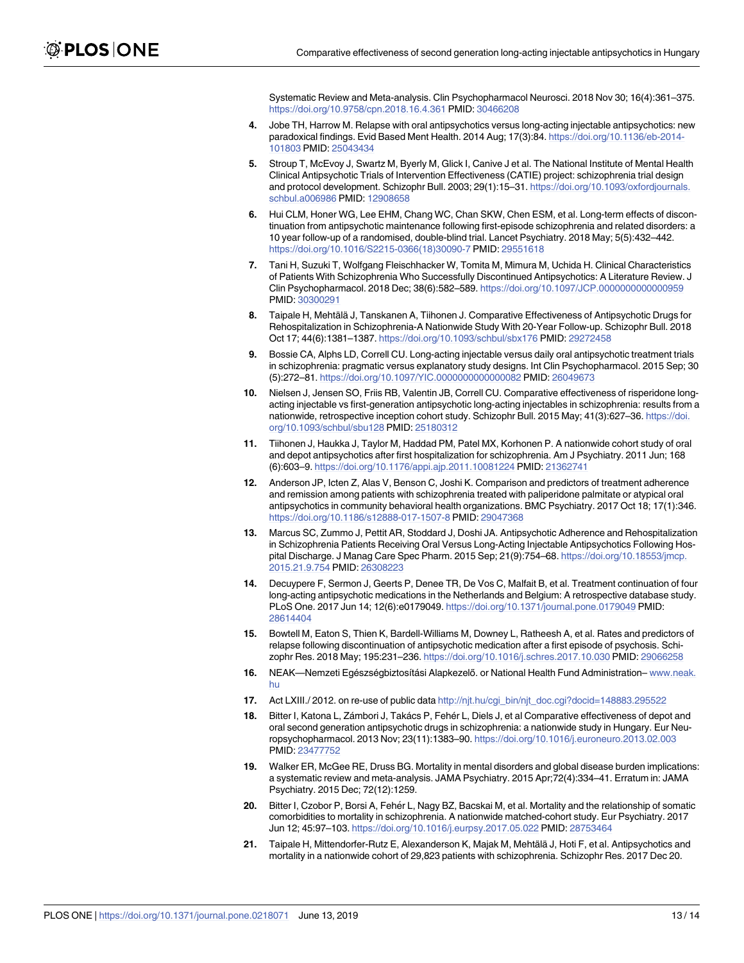Systematic Review and Meta-analysis. Clin Psychopharmacol Neurosci. 2018 Nov 30; 16(4):361–375. <https://doi.org/10.9758/cpn.2018.16.4.361> PMID: [30466208](http://www.ncbi.nlm.nih.gov/pubmed/30466208)

- <span id="page-12-0"></span>**[4](#page-1-0).** Jobe TH, Harrow M. Relapse with oral antipsychotics versus long-acting injectable antipsychotics: new paradoxical findings. Evid Based Ment Health. 2014 Aug; 17(3):84. [https://doi.org/10.1136/eb-2014-](https://doi.org/10.1136/eb-2014-101803) [101803](https://doi.org/10.1136/eb-2014-101803) PMID: [25043434](http://www.ncbi.nlm.nih.gov/pubmed/25043434)
- **[5](#page-1-0).** Stroup T, McEvoy J, Swartz M, Byerly M, Glick I, Canive J et al. The National Institute of Mental Health Clinical Antipsychotic Trials of Intervention Effectiveness (CATIE) project: schizophrenia trial design and protocol development. Schizophr Bull. 2003; 29(1):15–31. [https://doi.org/10.1093/oxfordjournals.](https://doi.org/10.1093/oxfordjournals.schbul.a006986) [schbul.a006986](https://doi.org/10.1093/oxfordjournals.schbul.a006986) PMID: [12908658](http://www.ncbi.nlm.nih.gov/pubmed/12908658)
- **[6](#page-1-0).** Hui CLM, Honer WG, Lee EHM, Chang WC, Chan SKW, Chen ESM, et al. Long-term effects of discontinuation from antipsychotic maintenance following first-episode schizophrenia and related disorders: a 10 year follow-up of a randomised, double-blind trial. Lancet Psychiatry. 2018 May; 5(5):432–442. [https://doi.org/10.1016/S2215-0366\(18\)30090-7](https://doi.org/10.1016/S2215-0366(18)30090-7) PMID: [29551618](http://www.ncbi.nlm.nih.gov/pubmed/29551618)
- **[7](#page-1-0).** Tani H, Suzuki T, Wolfgang Fleischhacker W, Tomita M, Mimura M, Uchida H. Clinical Characteristics of Patients With Schizophrenia Who Successfully Discontinued Antipsychotics: A Literature Review. J Clin Psychopharmacol. 2018 Dec; 38(6):582–589. <https://doi.org/10.1097/JCP.0000000000000959> PMID: [30300291](http://www.ncbi.nlm.nih.gov/pubmed/30300291)
- **[8](#page-1-0).** Taipale H, Mehtälä J, Tanskanen A, Tiihonen J. Comparative Effectiveness of Antipsychotic Drugs for Rehospitalization in Schizophrenia-A Nationwide Study With 20-Year Follow-up. Schizophr Bull. 2018 Oct 17; 44(6):1381–1387. <https://doi.org/10.1093/schbul/sbx176> PMID: [29272458](http://www.ncbi.nlm.nih.gov/pubmed/29272458)
- **9.** Bossie CA, Alphs LD, Correll CU. Long-acting injectable versus daily oral antipsychotic treatment trials in schizophrenia: pragmatic versus explanatory study designs. Int Clin Psychopharmacol. 2015 Sep; 30 (5):272–81. <https://doi.org/10.1097/YIC.0000000000000082> PMID: [26049673](http://www.ncbi.nlm.nih.gov/pubmed/26049673)
- **10.** Nielsen J, Jensen SO, Friis RB, Valentin JB, Correll CU. Comparative effectiveness of risperidone longacting injectable vs first-generation antipsychotic long-acting injectables in schizophrenia: results from a nationwide, retrospective inception cohort study. Schizophr Bull. 2015 May; 41(3):627–36. [https://doi.](https://doi.org/10.1093/schbul/sbu128) [org/10.1093/schbul/sbu128](https://doi.org/10.1093/schbul/sbu128) PMID: [25180312](http://www.ncbi.nlm.nih.gov/pubmed/25180312)
- **11.** Tiihonen J, Haukka J, Taylor M, Haddad PM, Patel MX, Korhonen P. A nationwide cohort study of oral and depot antipsychotics after first hospitalization for schizophrenia. Am J Psychiatry. 2011 Jun; 168 (6):603–9. <https://doi.org/10.1176/appi.ajp.2011.10081224> PMID: [21362741](http://www.ncbi.nlm.nih.gov/pubmed/21362741)
- **12.** Anderson JP, Icten Z, Alas V, Benson C, Joshi K. Comparison and predictors of treatment adherence and remission among patients with schizophrenia treated with paliperidone palmitate or atypical oral antipsychotics in community behavioral health organizations. BMC Psychiatry. 2017 Oct 18; 17(1):346. <https://doi.org/10.1186/s12888-017-1507-8> PMID: [29047368](http://www.ncbi.nlm.nih.gov/pubmed/29047368)
- **13.** Marcus SC, Zummo J, Pettit AR, Stoddard J, Doshi JA. Antipsychotic Adherence and Rehospitalization in Schizophrenia Patients Receiving Oral Versus Long-Acting Injectable Antipsychotics Following Hospital Discharge. J Manag Care Spec Pharm. 2015 Sep; 21(9):754–68. [https://doi.org/10.18553/jmcp.](https://doi.org/10.18553/jmcp.2015.21.9.754) [2015.21.9.754](https://doi.org/10.18553/jmcp.2015.21.9.754) PMID: [26308223](http://www.ncbi.nlm.nih.gov/pubmed/26308223)
- **[14](#page-1-0).** Decuypere F, Sermon J, Geerts P, Denee TR, De Vos C, Malfait B, et al. Treatment continuation of four long-acting antipsychotic medications in the Netherlands and Belgium: A retrospective database study. PLoS One. 2017 Jun 14; 12(6):e0179049. <https://doi.org/10.1371/journal.pone.0179049> PMID: [28614404](http://www.ncbi.nlm.nih.gov/pubmed/28614404)
- **[15](#page-1-0).** Bowtell M, Eaton S, Thien K, Bardell-Williams M, Downey L, Ratheesh A, et al. Rates and predictors of relapse following discontinuation of antipsychotic medication after a first episode of psychosis. Schizophr Res. 2018 May; 195:231–236. <https://doi.org/10.1016/j.schres.2017.10.030> PMID: [29066258](http://www.ncbi.nlm.nih.gov/pubmed/29066258)
- [16](#page-1-0). NEAK—Nemzeti Egészségbiztosítási Alapkezelő. or National Health Fund Administration– [www.neak.](http://www.neak.hu) [hu](http://www.neak.hu)
- **[17](#page-1-0).** Act LXIII./ 2012. on re-use of public data [http://njt.hu/cgi\\_bin/njt\\_doc.cgi?docid=148883.295522](http://njt.hu/cgi_bin/njt_doc.cgi?docid=148883.295522)
- **[18](#page-1-0).** Bitter I, Katona L, Zámbori J, Takács P, Fehér L, Diels J, et al Comparative effectiveness of depot and oral second generation antipsychotic drugs in schizophrenia: a nationwide study in Hungary. Eur Neuropsychopharmacol. 2013 Nov; 23(11):1383–90. <https://doi.org/10.1016/j.euroneuro.2013.02.003> PMID: [23477752](http://www.ncbi.nlm.nih.gov/pubmed/23477752)
- **[19](#page-2-0).** Walker ER, McGee RE, Druss BG. Mortality in mental disorders and global disease burden implications: a systematic review and meta-analysis. JAMA Psychiatry. 2015 Apr;72(4):334–41. Erratum in: JAMA Psychiatry. 2015 Dec; 72(12):1259.
- **[20](#page-2-0).** Bitter I, Czobor P, Borsi A, Fehe´r L, Nagy BZ, Bacskai M, et al. Mortality and the relationship of somatic comorbidities to mortality in schizophrenia. A nationwide matched-cohort study. Eur Psychiatry. 2017 Jun 12; 45:97–103. <https://doi.org/10.1016/j.eurpsy.2017.05.022> PMID: [28753464](http://www.ncbi.nlm.nih.gov/pubmed/28753464)
- **[21](#page-2-0).** Taipale H, Mittendorfer-Rutz E, Alexanderson K, Majak M, Mehtälä J, Hoti F, et al. Antipsychotics and mortality in a nationwide cohort of 29,823 patients with schizophrenia. Schizophr Res. 2017 Dec 20.